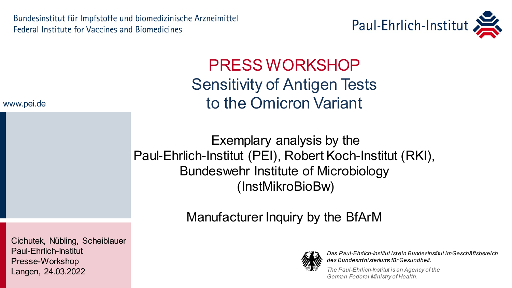Bundesinstitut für Impfstoffe und biomedizinische Arzneimittel **Federal Institute for Vaccines and Biomedicines** 



PRESS WORKSHOP Sensitivity of Antigen Tests to the Omicron Variant

Exemplary analysis by the Paul-Ehrlich-Institut (PEI), Robert Koch-Institut (RKI), Bundeswehr Institute of Microbiology (InstMikroBioBw)

Manufacturer Inquiry by the BfArM



*Das Paul-Ehrlich-Institut ist ein Bundesinstitut im Geschäftsbereich des Bundesministeriums für Gesundheit.*

*The Paul-Ehrlich-Institut is an Agency of the German Federal Ministry of Health.*

#### www.pei.de

Cichutek, Nübling, Scheiblauer Paul-Ehrlich-Institut Presse-Workshop Langen, 24.03.2022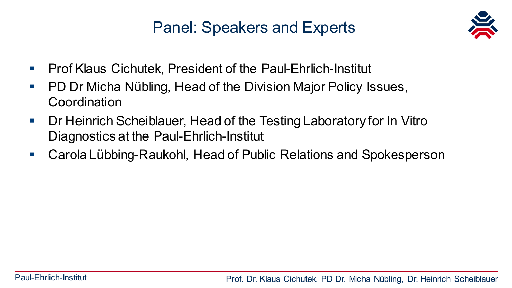# Panel: Speakers and Experts



- Prof Klaus Cichutek, President of the Paul-Ehrlich-Institut
- **PD Dr Micha Nübling, Head of the Division Major Policy Issues,** Coordination
- Dr Heinrich Scheiblauer, Head of the Testing Laboratory for In Vitro Diagnostics at the Paul-Ehrlich-Institut
- Carola Lübbing-Raukohl, Head of Public Relations and Spokesperson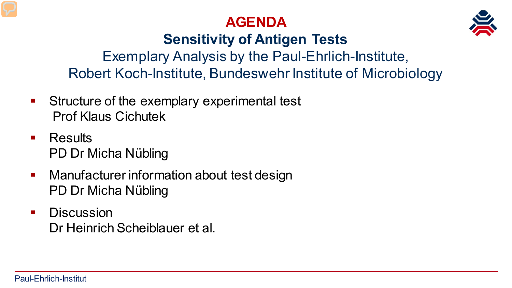



# **Sensitivity of Antigen Tests**

Exemplary Analysis by the Paul-Ehrlich-Institute, Robert Koch-Institute, Bundeswehr Institute of Microbiology

- **Structure of the exemplary experimental test** Prof Klaus Cichutek
- **Results** PD Dr Micha Nübling
- Manufacturer information about test design PD Dr Micha Nübling
- **Discussion** Dr Heinrich Scheiblauer et al.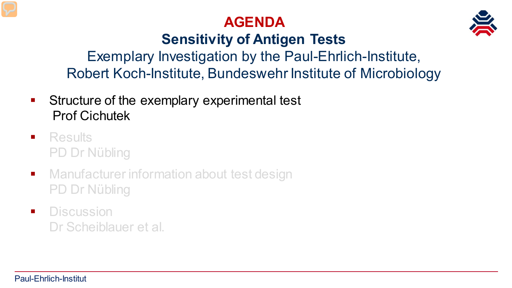# **AGENDA**



# **Sensitivity of Antigen Tests**

Exemplary Investigation by the Paul-Ehrlich-Institute, Robert Koch-Institute, Bundeswehr Institute of Microbiology

- **Structure of the exemplary experimental test** Prof Cichutek
- **Results** PD Dr Nübling
- **Manufacturer information about test design** PD Dr Nübling
- **Discussion** Dr Scheiblauer et al.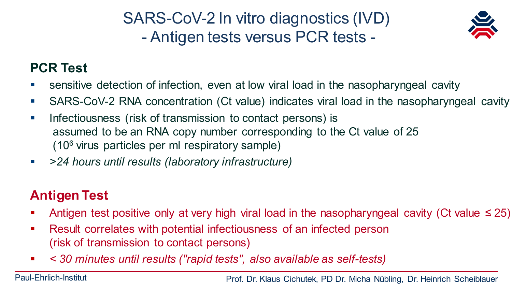SARS-CoV-2 In vitro diagnostics (IVD) - Antigen tests versus PCR tests -



#### **PCR Test**

- sensitive detection of infection, even at low viral load in the nasopharyngeal cavity
- SARS-CoV-2 RNA concentration (Ct value) indicates viral load in the nasopharyngeal cavity
- **Infectiousness** (risk of transmission to contact persons) is assumed to be an RNA copy number corresponding to the Ct value of 25 (106 virus particles per ml respiratory sample)
- *>24 hours until results (laboratory infrastructure)*

#### **Antigen Test**

- Antigen test positive only at very high viral load in the nasopharyngeal cavity (Ct value  $\leq$  25)
- Result correlates with potential infectiousness of an infected person (risk of transmission to contact persons)
- *< 30 minutes until results ("rapid tests", also available as self-tests)*

Paul-Ehrlich-Institut **Prof. Dr. Klaus Cichutek, PD Dr. Micha Nübling, Dr. Heinrich Scheiblauer**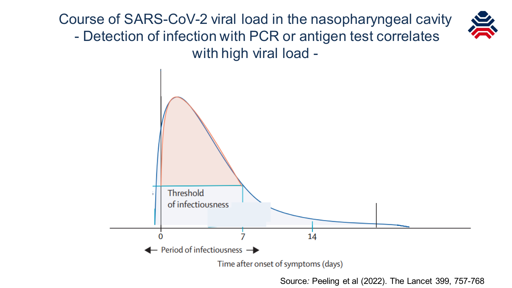Course of SARS-CoV-2 viral load in the nasopharyngeal cavity - Detection of infection with PCR or antigen test correlates with high viral load -



Source: Peeling et al (2022). The Lancet 399, 757-768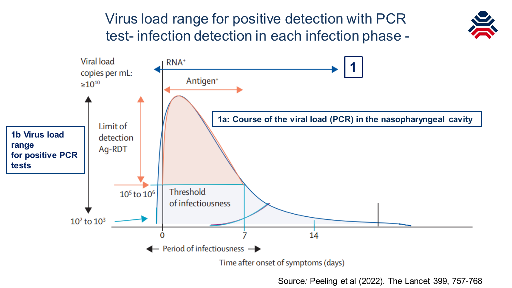## Virus load range for positive detection with PCR test- infection detection in each infection phase -





Source: Peeling et al (2022). The Lancet 399, 757-768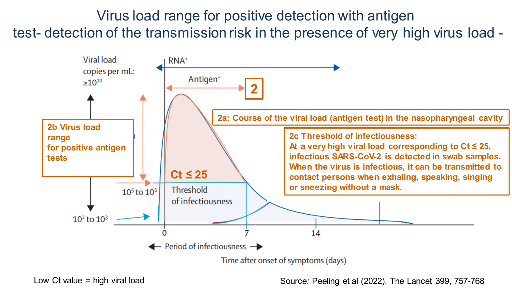## Virus load range for positive detection with antigen test- detection of the transmission risk in the presence of very high virus load -



Low  $Ct$  value  $=$  high viral load

Low Ct value = high viral load dr. Michae Nübeling, Peeling et al (2022). The Lancet 399, 757-768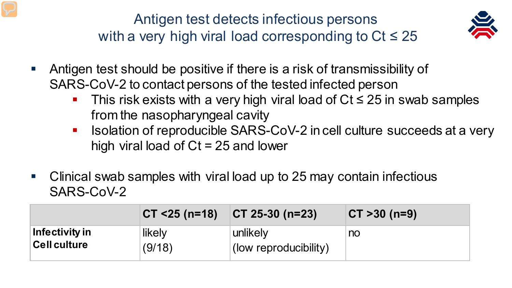Antigen test detects infectious persons with a very high viral load corresponding to  $Ct \leq 25$ 



- Antigen test should be positive if there is a risk of transmissibility of SARS-CoV-2 to contact persons of the tested infected person
	- This risk exists with a very high viral load of  $Ct \le 25$  in swab samples from the nasopharyngeal cavity
	- Isolation of reproducible SARS-CoV-2 in cell culture succeeds at a very high viral load of Ct = 25 and lower
- Clinical swab samples with viral load up to 25 may contain infectious SARS-CoV-2

|                     | $CT < 25 (n=18)$ | $ CT 25-30 (n=23) $   | $ CT > 30$ (n=9) |
|---------------------|------------------|-----------------------|------------------|
| Infectivity in      | likely           | unlikely              | no               |
| <b>Cell culture</b> | (9/18)           | (low reproducibility) |                  |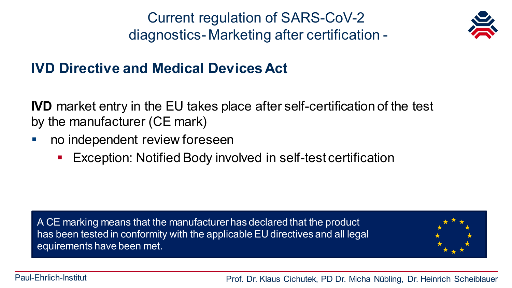Current regulation of SARS-CoV-2 diagnostics- Marketing after certification -



## **IVD Directive and Medical Devices Act**

**IVD** market entry in the EU takes place after self-certification of the test by the manufacturer (CE mark)

- no independent review foreseen
	- **Exception: Notified Body involved in self-test certification**

A CE marking means that the manufacturer has declared that the product has been tested in conformity with the applicable EU directives and all legal equirements have been met.



Paul-Ehrlich-Institut **Prof. Dr. Klaus Cichutek, PD Dr. Micha Nübling, Dr. Heinrich Scheiblauer**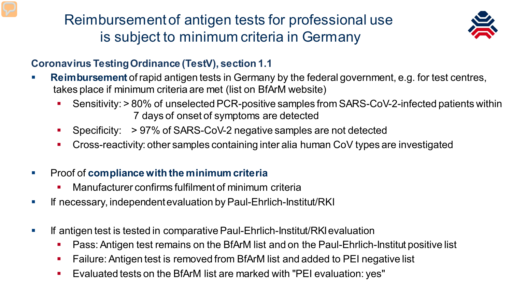Reimbursement of antigen tests for professional use is subject to minimum criteria in Germany



#### **Coronavirus Testing Ordinance (TestV), section 1.1**

- **Reimbursement** of rapid antigen tests in Germany by the federal government, e.g. for test centres, takes place if minimum criteria are met (list on BfArM website)
	- Sensitivity: > 80% of unselected PCR-positive samples from SARS-CoV-2-infected patients within 7 days of onset of symptoms are detected
	- Specificity: > 97% of SARS-CoV-2 negative samples are not detected
	- Cross-reactivity: other samples containing inter alia human CoV types are investigated
- Proof of **compliance with the minimum criteria**
	- Manufacturer confirms fulfilment of minimum criteria
- **If necessary, independent evaluation by Paul-Ehrlich-Institut/RKI**
- If antigen test is tested in comparative Paul-Ehrlich-Institut/RKI evaluation
	- Pass:Antigen test remains on the BfArM list and on the Paul-Ehrlich-Institut positive list
	- Failure: Antigen test is removed from BfArM list and added to PEI negative list
- **E**valuated tests on the BfArM list are marked with "PEI evaluation: yes"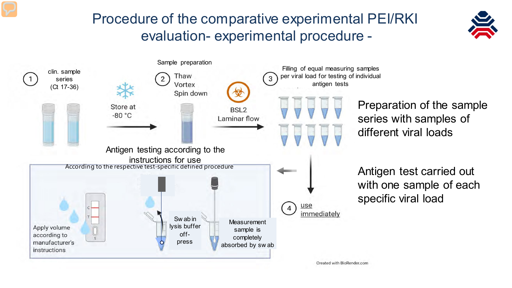## Procedure of the comparative experimental PEI/RKI evaluation- experimental procedure -





Preparation of the sample series with samples of different viral loads

Antigen test carried out with one sample of each specific viral load

Created with BioRender.com